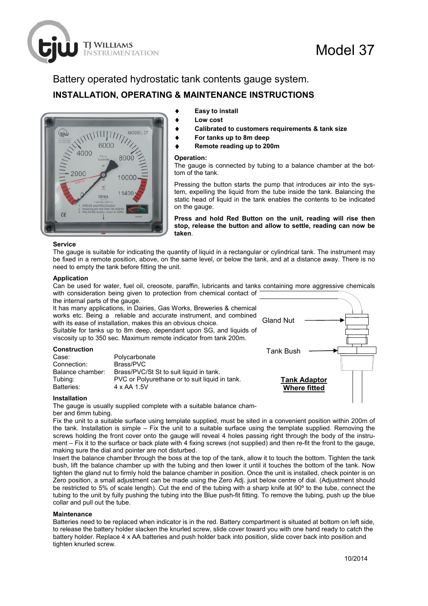# Battery operated hydrostatic tank contents gauge system. **INSTALLATION, OPERATING & MAINTENANCE INSTRUCTIONS**



**TI WILLIAMS** 

**STRUMENTATION** 

# **Easy to install**

- **Low cost**
- Calibrated to customers requirements & tank size
- For tanks up to 8m deep
- **Remote reading up to 200m**

#### **Operation:**

The gauge is connected by tubing to a balance chamber at the bottom of the tank.

Pressing the button starts the pump that introduces air into the system, expelling the liquid from the tube inside the tank. Balancing the static head of liquid in the tank enables the contents to be indicated on the gauge.

**Press and hold Red Button on the unit, reading will rise then stop, release the button and allow to settle, reading can now be taken**.

## **Service**

The gauge is suitable for indicating the quantity of liquid in a rectangular or cylindrical tank. The instrument may be fixed in a remote position, above, on the same level, or below the tank, and at a distance away. There is no need to empty the tank before fitting the unit.

#### **Application**

Can be used for water, fuel oil, creosote, paraffin, lubricants and tanks containing more aggressive chemicals with consideration being given to protection from chemical contact of

the internal parts of the gauge. It has many applications, in Dairies, Gas Works, Breweries & chemical works etc. Being a reliable and accurate instrument, and combined with its ease of installation, makes this an obvious choice. Suitable for tanks up to 8m deep, dependant upon SG, and liquids of viscosity up to 350 sec. Maximum remote indicator from tank 200m.

# **Construction**

| Polycarbonate                                  |
|------------------------------------------------|
| Brass/PVC                                      |
| Brass/PVC/St St to suit liquid in tank.        |
| PVC or Polyurethane or to suit liquid in tank. |
| 4 x AA 1.5V                                    |
|                                                |



Model 37

## **Installation**

The gauge is usually supplied complete with a suitable balance chamber and 6mm tubing.

Fix the unit to a suitable surface using template supplied, must be sited in a convenient position within 200m of the tank. Installation is simple – Fix the unit to a suitable surface using the template supplied. Removing the screws holding the front cover onto the gauge will reveal 4 holes passing right through the body of the instrument – Fix it to the surface or back plate with 4 fixing screws (not supplied) and then re-fit the front to the gauge, making sure the dial and pointer are not disturbed.

Insert the balance chamber through the boss at the top of the tank, allow it to touch the bottom. Tighten the tank bush, lift the balance chamber up with the tubing and then lower it until it touches the bottom of the tank. Now tighten the gland nut to firmly hold the balance chamber in position. Once the unit is installed, check pointer is on Zero position, a small adjustment can be made using the Zero Adj. just below centre of dial. (Adjustment should be restricted to 5% of scale length). Cut the end of the tubing with a sharp knife at 90° to the tube, connect the tubing to the unit by fully pushing the tubing into the Blue push-fit fitting. To remove the tubing, push up the blue collar and pull out the tube.

## **Maintenance**

Batteries need to be replaced when indicator is in the red. Battery compartment is situated at bottom on left side, to release the battery holder slacken the knurled screw, slide cover toward you with one hand ready to catch the battery holder. Replace 4 x AA batteries and push holder back into position, slide cover back into position and tighten knurled screw.